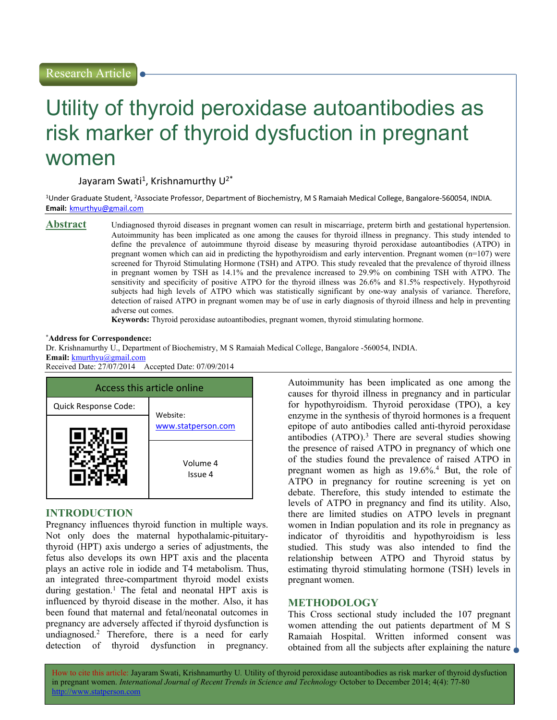Research Article

# Utility of thyroid peroxidase autoantibodies as risk marker of thyroid dysfuction in pregnant women

Jayaram Swati<sup>1</sup>, Krishnamurthy U<sup>2\*</sup>

<sup>1</sup>Under Graduate Student, <sup>2</sup>Associate Professor, Department of Biochemistry, M S Ramaiah Medical College, Bangalore-560054, INDIA. Email: kmurthyu@gmail.com

**Abstract** Undiagnosed thyroid diseases in pregnant women can result in miscarriage, preterm birth and gestational hypertension. Autoimmunity has been implicated as one among the causes for thyroid illness in pregnancy. This study intended to define the prevalence of autoimmune thyroid disease by measuring thyroid peroxidase autoantibodies (ATPO) in pregnant women which can aid in predicting the hypothyroidism and early intervention. Pregnant women (n=107) were screened for Thyroid Stimulating Hormone (TSH) and ATPO. This study revealed that the prevalence of thyroid illness in pregnant women by TSH as 14.1% and the prevalence increased to 29.9% on combining TSH with ATPO. The sensitivity and specificity of positive ATPO for the thyroid illness was 26.6% and 81.5% respectively. Hypothyroid subjects had high levels of ATPO which was statistically significant by one-way analysis of variance. Therefore, detection of raised ATPO in pregnant women may be of use in early diagnosis of thyroid illness and help in preventing adverse out comes.

Keywords: Thyroid peroxidase autoantibodies, pregnant women, thyroid stimulating hormone.

#### \*Address for Correspondence:

Dr. Krishnamurthy U., Department of Biochemistry, M S Ramaiah Medical College, Bangalore -560054, INDIA. Email: kmurthyu@gmail.com Received Date: 27/07/2014 Accepted Date: 07/09/2014



## INTRODUCTION

Pregnancy influences thyroid function in multiple ways. Not only does the maternal hypothalamic-pituitarythyroid (HPT) axis undergo a series of adjustments, the fetus also develops its own HPT axis and the placenta plays an active role in iodide and T4 metabolism. Thus, an integrated three-compartment thyroid model exists during gestation.<sup>1</sup> The fetal and neonatal HPT axis is influenced by thyroid disease in the mother. Also, it has been found that maternal and fetal/neonatal outcomes in pregnancy are adversely affected if thyroid dysfunction is undiagnosed.<sup>2</sup> Therefore, there is a need for early detection of thyroid dysfunction in pregnancy.

Autoimmunity has been implicated as one among the causes for thyroid illness in pregnancy and in particular for hypothyroidism. Thyroid peroxidase (TPO), a key enzyme in the synthesis of thyroid hormones is a frequent epitope of auto antibodies called anti-thyroid peroxidase antibodies  $(ATPO)^3$ . There are several studies showing the presence of raised ATPO in pregnancy of which one of the studies found the prevalence of raised ATPO in pregnant women as high as 19.6%.<sup>4</sup> But, the role of ATPO in pregnancy for routine screening is yet on debate. Therefore, this study intended to estimate the levels of ATPO in pregnancy and find its utility. Also, there are limited studies on ATPO levels in pregnant women in Indian population and its role in pregnancy as indicator of thyroiditis and hypothyroidism is less studied. This study was also intended to find the relationship between ATPO and Thyroid status by estimating thyroid stimulating hormone (TSH) levels in pregnant women.

## **METHODOLOGY**

This Cross sectional study included the 107 pregnant women attending the out patients department of M S Ramaiah Hospital. Written informed consent was obtained from all the subjects after explaining the nature

How to cite this article: Jayaram Swati, Krishnamurthy U. Utility of thyroid peroxidase autoantibodies as risk marker of thyroid dysfuction in pregnant women. International Journal of Recent Trends in Science and Technology October to December 2014; 4(4): 77-80 http://www.statperson.com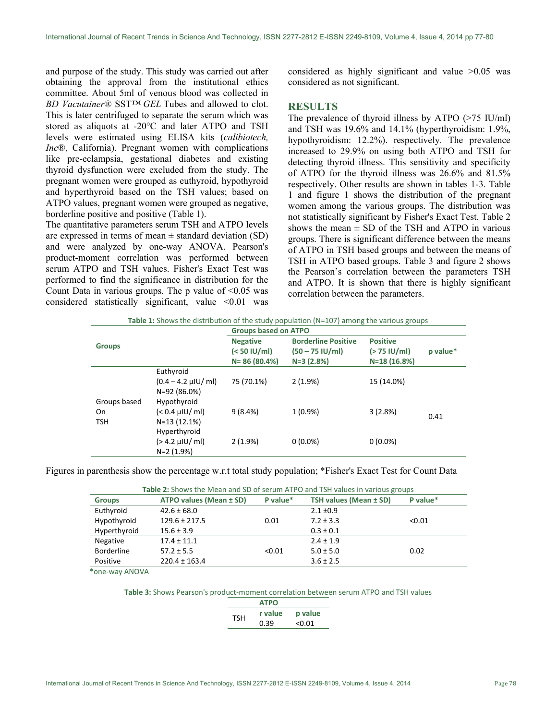and purpose of the study. This study was carried out after obtaining the approval from the institutional ethics committee. About 5ml of venous blood was collected in BD Vacutainer<sup>®</sup> SST<sup>TM</sup> GEL Tubes and allowed to clot. This is later centrifuged to separate the serum which was stored as aliquots at -20°C and later ATPO and TSH levels were estimated using ELISA kits (calibiotech, Inc®, California). Pregnant women with complications like pre-eclampsia, gestational diabetes and existing thyroid dysfunction were excluded from the study. The pregnant women were grouped as euthyroid, hypothyroid and hyperthyroid based on the TSH values; based on ATPO values, pregnant women were grouped as negative, borderline positive and positive (Table 1).

The quantitative parameters serum TSH and ATPO levels are expressed in terms of mean  $\pm$  standard deviation (SD) and were analyzed by one-way ANOVA. Pearson's product-moment correlation was performed between serum ATPO and TSH values. Fisher's Exact Test was performed to find the significance in distribution for the Count Data in various groups. The p value of  $\leq 0.05$  was considered statistically significant, value  $\leq 0.01$  was considered as highly significant and value >0.05 was considered as not significant.

## **RESULTS**

The prevalence of thyroid illness by ATPO (>75 IU/ml) and TSH was 19.6% and 14.1% (hyperthyroidism: 1.9%, hypothyroidism: 12.2%). respectively. The prevalence increased to 29.9% on using both ATPO and TSH for detecting thyroid illness. This sensitivity and specificity of ATPO for the thyroid illness was 26.6% and 81.5% respectively. Other results are shown in tables 1-3. Table 1 and figure 1 shows the distribution of the pregnant women among the various groups. The distribution was not statistically significant by Fisher's Exact Test. Table 2 shows the mean  $\pm$  SD of the TSH and ATPO in various groups. There is significant difference between the means of ATPO in TSH based groups and between the means of TSH in ATPO based groups. Table 3 and figure 2 shows the Pearson's correlation between the parameters TSH and ATPO. It is shown that there is highly significant correlation between the parameters.

|                                  |                                                    | <b>Groups based on ATPO</b>                          |                                                                |                                                   |          |  |
|----------------------------------|----------------------------------------------------|------------------------------------------------------|----------------------------------------------------------------|---------------------------------------------------|----------|--|
| <b>Groups</b>                    |                                                    | <b>Negative</b><br>$(< 50$ IU/ml)<br>$N = 86(80.4%)$ | <b>Borderline Positive</b><br>$(50 - 75$ IU/ml)<br>$N=3(2.8%)$ | <b>Positive</b><br>$(> 75$ IU/ml)<br>N=18 (16.8%) | p value* |  |
|                                  | Euthyroid<br>$(0.4 - 4.2 \mu U/m)$<br>N=92 (86.0%) | 75 (70.1%)                                           | $2(1.9\%)$                                                     | 15 (14.0%)                                        |          |  |
| Groups based<br>On<br><b>TSH</b> | Hypothyroid<br>$(< 0.4 \mu U/m)$<br>$N=13(12.1%)$  | 9(8.4%)                                              | $1(0.9\%)$                                                     | 3(2.8%)                                           | 0.41     |  |
|                                  | Hyperthyroid<br>$(> 4.2 \mu U/m)$<br>$N=2(1.9%)$   | 2(1.9%)                                              | $0(0.0\%)$                                                     | $0(0.0\%)$                                        |          |  |

Figures in parenthesis show the percentage w.r.t total study population; \*Fisher's Exact Test for Count Data

| <b>Table 2:</b> Shows the Mean and SD of serum ATPO and TSH values in various groups |                         |          |                        |          |  |  |
|--------------------------------------------------------------------------------------|-------------------------|----------|------------------------|----------|--|--|
| <b>Groups</b>                                                                        | ATPO values (Mean ± SD) | P value* | TSH values (Mean ± SD) | P value* |  |  |
| Euthyroid                                                                            | $42.6 \pm 68.0$         |          | $2.1 \pm 0.9$          |          |  |  |
| Hypothyroid                                                                          | $129.6 \pm 217.5$       | 0.01     | $7.2 \pm 3.3$          | < 0.01   |  |  |
| Hyperthyroid                                                                         | $15.6 \pm 3.9$          |          | $0.3 \pm 0.1$          |          |  |  |
| Negative                                                                             | $17.4 \pm 11.1$         |          | $2.4 \pm 1.9$          |          |  |  |
| <b>Borderline</b>                                                                    | $57.2 \pm 5.5$          | < 0.01   | $5.0 \pm 5.0$          | 0.02     |  |  |
| Positive                                                                             | $220.4 \pm 163.4$       |          | $3.6 \pm 2.5$          |          |  |  |

Table 2: Shows the Mean and SD of serum ATPO and TSH values in various groups

\*one-way ANOVA

Table 3: Shows Pearson's product-moment correlation between serum ATPO and TSH values

|            | <b>ATPO</b> |         |
|------------|-------------|---------|
| <b>TSH</b> | r value     | p value |
|            | 0.39        | < 0.01  |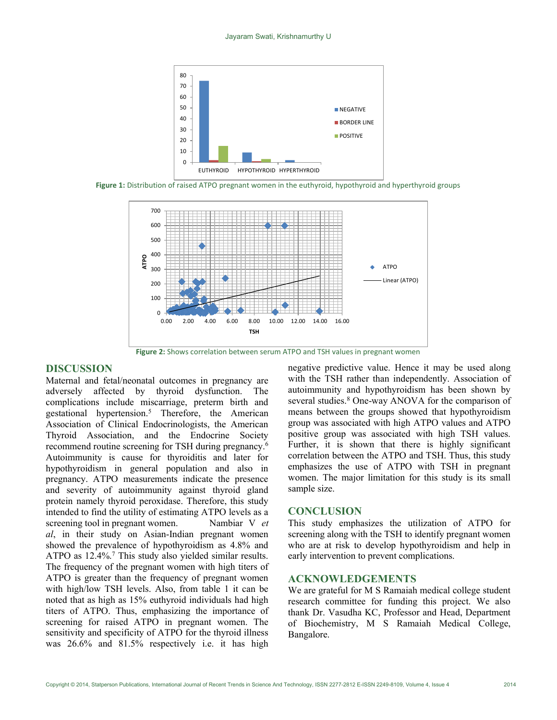

Figure 1: Distribution of raised ATPO pregnant women in the euthyroid, hypothyroid and hyperthyroid groups



Figure 2: Shows correlation between serum ATPO and TSH values in pregnant women

## DISCUSSION

Maternal and fetal/neonatal outcomes in pregnancy are adversely affected by thyroid dysfunction. The complications include miscarriage, preterm birth and gestational hypertension.<sup>5</sup> Therefore, the American Association of Clinical Endocrinologists, the American Thyroid Association, and the Endocrine Society recommend routine screening for TSH during pregnancy.<sup>6</sup> Autoimmunity is cause for thyroiditis and later for hypothyroidism in general population and also in pregnancy. ATPO measurements indicate the presence and severity of autoimmunity against thyroid gland protein namely thyroid peroxidase. Therefore, this study intended to find the utility of estimating ATPO levels as a screening tool in pregnant women. Nambiar V et al, in their study on Asian-Indian pregnant women showed the prevalence of hypothyroidism as 4.8% and ATPO as 12.4%.<sup>7</sup> This study also yielded similar results. The frequency of the pregnant women with high titers of ATPO is greater than the frequency of pregnant women with high/low TSH levels. Also, from table 1 it can be noted that as high as 15% euthyroid individuals had high titers of ATPO. Thus, emphasizing the importance of screening for raised ATPO in pregnant women. The sensitivity and specificity of ATPO for the thyroid illness was 26.6% and 81.5% respectively i.e. it has high

negative predictive value. Hence it may be used along with the TSH rather than independently. Association of autoimmunity and hypothyroidism has been shown by several studies.<sup>8</sup> One-way ANOVA for the comparison of means between the groups showed that hypothyroidism group was associated with high ATPO values and ATPO positive group was associated with high TSH values. Further, it is shown that there is highly significant correlation between the ATPO and TSH. Thus, this study emphasizes the use of ATPO with TSH in pregnant women. The major limitation for this study is its small sample size.

#### CONCLUSION

This study emphasizes the utilization of ATPO for screening along with the TSH to identify pregnant women who are at risk to develop hypothyroidism and help in early intervention to prevent complications.

#### ACKNOWLEDGEMENTS

We are grateful for M S Ramaiah medical college student research committee for funding this project. We also thank Dr. Vasudha KC, Professor and Head, Department of Biochemistry, M S Ramaiah Medical College, Bangalore.